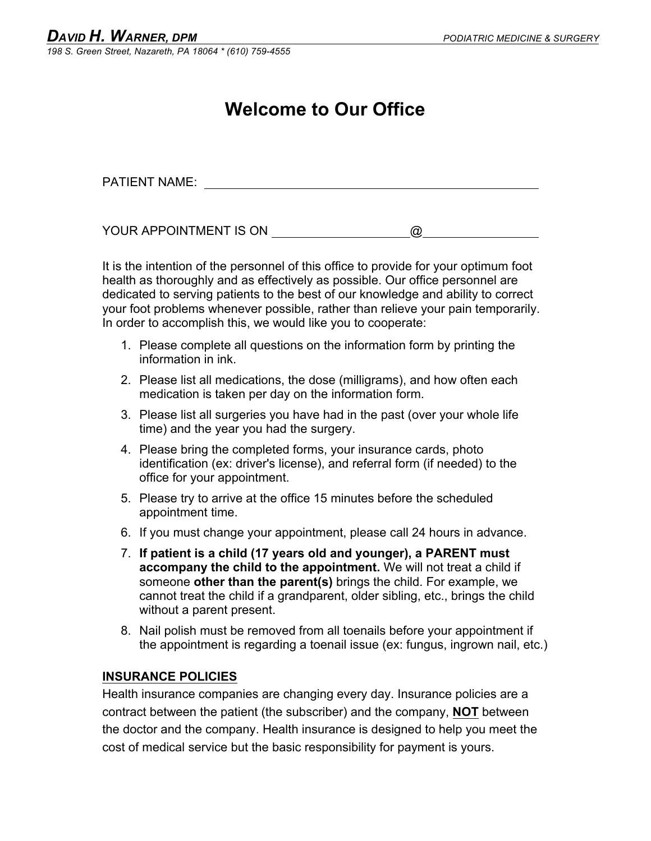### **Welcome to Our Office**

PATIENT NAME:

YOUR APPOINTMENT IS ON  $\qquad \qquad \textcircled{2}$ 

It is the intention of the personnel of this office to provide for your optimum foot health as thoroughly and as effectively as possible. Our office personnel are dedicated to serving patients to the best of our knowledge and ability to correct your foot problems whenever possible, rather than relieve your pain temporarily. In order to accomplish this, we would like you to cooperate:

- 1. Please complete all questions on the information form by printing the information in ink.
- 2. Please list all medications, the dose (milligrams), and how often each medication is taken per day on the information form.
- 3. Please list all surgeries you have had in the past (over your whole life time) and the year you had the surgery.
- 4. Please bring the completed forms, your insurance cards, photo identification (ex: driver's license), and referral form (if needed) to the office for your appointment.
- 5. Please try to arrive at the office 15 minutes before the scheduled appointment time.
- 6. If you must change your appointment, please call 24 hours in advance.
- 7. **If patient is a child (17 years old and younger), a PARENT must accompany the child to the appointment.** We will not treat a child if someone **other than the parent(s)** brings the child. For example, we cannot treat the child if a grandparent, older sibling, etc., brings the child without a parent present.
- 8. Nail polish must be removed from all toenails before your appointment if the appointment is regarding a toenail issue (ex: fungus, ingrown nail, etc.)

### **INSURANCE POLICIES**

Health insurance companies are changing every day. Insurance policies are a contract between the patient (the subscriber) and the company, **NOT** between the doctor and the company. Health insurance is designed to help you meet the cost of medical service but the basic responsibility for payment is yours.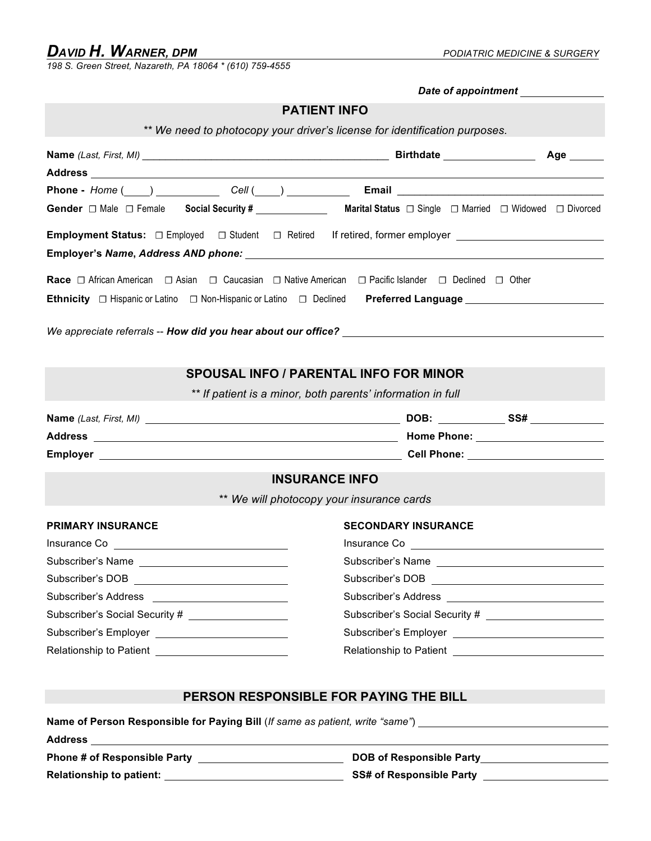*198 S. Green Street, Nazareth, PA 18064 \* (610) 759-4555*

|                                                                                                                                                                                                                                | Date of appointment <b>contract</b>                                                                                                                                                                                                  |  |  |  |
|--------------------------------------------------------------------------------------------------------------------------------------------------------------------------------------------------------------------------------|--------------------------------------------------------------------------------------------------------------------------------------------------------------------------------------------------------------------------------------|--|--|--|
| <b>PATIENT INFO</b>                                                                                                                                                                                                            |                                                                                                                                                                                                                                      |  |  |  |
| ** We need to photocopy your driver's license for identification purposes.                                                                                                                                                     |                                                                                                                                                                                                                                      |  |  |  |
|                                                                                                                                                                                                                                |                                                                                                                                                                                                                                      |  |  |  |
|                                                                                                                                                                                                                                |                                                                                                                                                                                                                                      |  |  |  |
| Phone - Home ( ) Cell ( ) Cell ( ) Email Constant Constant Constant Constant Constant Constant Constant Constant Constant Constant Constant Constant Constant Constant Constant Constant Constant Constant Constant Constant C |                                                                                                                                                                                                                                      |  |  |  |
|                                                                                                                                                                                                                                |                                                                                                                                                                                                                                      |  |  |  |
| Gender $\Box$ Male $\Box$ Female Social Security # ____________________ Marital Status $\Box$ Single $\Box$ Married $\Box$ Widowed $\Box$ Divorced                                                                             |                                                                                                                                                                                                                                      |  |  |  |
|                                                                                                                                                                                                                                |                                                                                                                                                                                                                                      |  |  |  |
|                                                                                                                                                                                                                                |                                                                                                                                                                                                                                      |  |  |  |
|                                                                                                                                                                                                                                |                                                                                                                                                                                                                                      |  |  |  |
|                                                                                                                                                                                                                                |                                                                                                                                                                                                                                      |  |  |  |
|                                                                                                                                                                                                                                |                                                                                                                                                                                                                                      |  |  |  |
|                                                                                                                                                                                                                                |                                                                                                                                                                                                                                      |  |  |  |
|                                                                                                                                                                                                                                |                                                                                                                                                                                                                                      |  |  |  |
|                                                                                                                                                                                                                                |                                                                                                                                                                                                                                      |  |  |  |
| <b>SPOUSAL INFO / PARENTAL INFO FOR MINOR</b>                                                                                                                                                                                  |                                                                                                                                                                                                                                      |  |  |  |
|                                                                                                                                                                                                                                | ** If patient is a minor, both parents' information in full                                                                                                                                                                          |  |  |  |
|                                                                                                                                                                                                                                |                                                                                                                                                                                                                                      |  |  |  |
|                                                                                                                                                                                                                                |                                                                                                                                                                                                                                      |  |  |  |
|                                                                                                                                                                                                                                |                                                                                                                                                                                                                                      |  |  |  |
| <b>INSURANCE INFO</b>                                                                                                                                                                                                          |                                                                                                                                                                                                                                      |  |  |  |
| ** We will photocopy your insurance cards                                                                                                                                                                                      |                                                                                                                                                                                                                                      |  |  |  |
|                                                                                                                                                                                                                                |                                                                                                                                                                                                                                      |  |  |  |
| <b>PRIMARY INSURANCE</b>                                                                                                                                                                                                       | <b>SECONDARY INSURANCE</b>                                                                                                                                                                                                           |  |  |  |
| Insurance Co <b>Insurance</b> Co <b>I</b>                                                                                                                                                                                      |                                                                                                                                                                                                                                      |  |  |  |
| Subscriber's Name                                                                                                                                                                                                              | Subscriber's Name                                                                                                                                                                                                                    |  |  |  |
|                                                                                                                                                                                                                                |                                                                                                                                                                                                                                      |  |  |  |
|                                                                                                                                                                                                                                | Subscriber's Address <b>Manual Accord Contract Contract Contract Contract Contract Contract Contract Contract Contract Contract Contract Contract Contract Contract Contract Contract Contract Contract Contract Contract Contra</b> |  |  |  |
| Subscriber's Social Security # ____________________                                                                                                                                                                            |                                                                                                                                                                                                                                      |  |  |  |
|                                                                                                                                                                                                                                |                                                                                                                                                                                                                                      |  |  |  |
|                                                                                                                                                                                                                                | Relationship to Patient <b>contain the Contract of August</b>                                                                                                                                                                        |  |  |  |
|                                                                                                                                                                                                                                |                                                                                                                                                                                                                                      |  |  |  |
|                                                                                                                                                                                                                                |                                                                                                                                                                                                                                      |  |  |  |
| PERSON RESPONSIBLE FOR PAYING THE BILL                                                                                                                                                                                         |                                                                                                                                                                                                                                      |  |  |  |
| Name of Person Responsible for Paying Bill (If same as patient, write "same") [18] Name of Person Responsible for Paying Bill (If same as patient, write "same")                                                               |                                                                                                                                                                                                                                      |  |  |  |
|                                                                                                                                                                                                                                |                                                                                                                                                                                                                                      |  |  |  |
|                                                                                                                                                                                                                                | DOB of Responsible Party________________________                                                                                                                                                                                     |  |  |  |

**Relationship to patient: SS# of Responsible Party**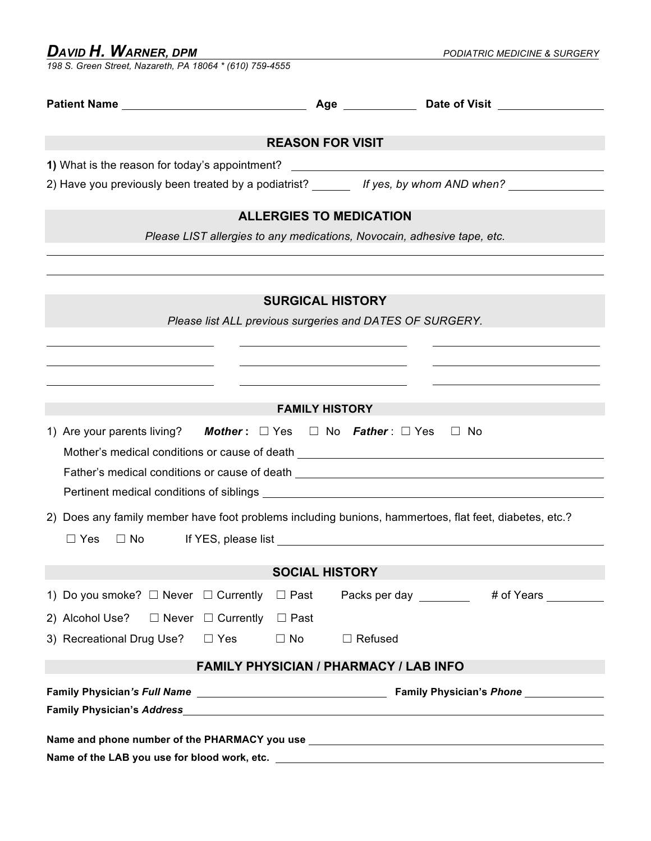*198 S. Green Street, Nazareth, PA 18064 \* (610) 759-4555*

| <b>REASON FOR VISIT</b>                                                                                                                                                    |                                                                                                                                                                                                                                                    |  |  |  |  |  |
|----------------------------------------------------------------------------------------------------------------------------------------------------------------------------|----------------------------------------------------------------------------------------------------------------------------------------------------------------------------------------------------------------------------------------------------|--|--|--|--|--|
|                                                                                                                                                                            |                                                                                                                                                                                                                                                    |  |  |  |  |  |
|                                                                                                                                                                            | 2) Have you previously been treated by a podiatrist? ______ If yes, by whom AND when?                                                                                                                                                              |  |  |  |  |  |
| <b>ALLERGIES TO MEDICATION</b>                                                                                                                                             |                                                                                                                                                                                                                                                    |  |  |  |  |  |
|                                                                                                                                                                            | Please LIST allergies to any medications, Novocain, adhesive tape, etc.                                                                                                                                                                            |  |  |  |  |  |
|                                                                                                                                                                            | <b>SURGICAL HISTORY</b>                                                                                                                                                                                                                            |  |  |  |  |  |
|                                                                                                                                                                            | Please list ALL previous surgeries and DATES OF SURGERY.                                                                                                                                                                                           |  |  |  |  |  |
|                                                                                                                                                                            |                                                                                                                                                                                                                                                    |  |  |  |  |  |
|                                                                                                                                                                            |                                                                                                                                                                                                                                                    |  |  |  |  |  |
|                                                                                                                                                                            |                                                                                                                                                                                                                                                    |  |  |  |  |  |
|                                                                                                                                                                            | <b>FAMILY HISTORY</b>                                                                                                                                                                                                                              |  |  |  |  |  |
| 1) Are your parents living? Mother: $\Box$ Yes $\Box$ No Father: $\Box$ Yes $\Box$ No<br>Mother's medical conditions or cause of death ___________________________________ |                                                                                                                                                                                                                                                    |  |  |  |  |  |
|                                                                                                                                                                            | Father's medical conditions or cause of death ___________________________________                                                                                                                                                                  |  |  |  |  |  |
|                                                                                                                                                                            |                                                                                                                                                                                                                                                    |  |  |  |  |  |
| 2) Does any family member have foot problems including bunions, hammertoes, flat feet, diabetes, etc.?                                                                     |                                                                                                                                                                                                                                                    |  |  |  |  |  |
| $\Box$ Yes<br>$\Box$ No                                                                                                                                                    |                                                                                                                                                                                                                                                    |  |  |  |  |  |
|                                                                                                                                                                            |                                                                                                                                                                                                                                                    |  |  |  |  |  |
|                                                                                                                                                                            | <b>SOCIAL HISTORY</b>                                                                                                                                                                                                                              |  |  |  |  |  |
| 1) Do you smoke? $\Box$ Never $\Box$ Currently<br>$\Box$ Past                                                                                                              | # of Years<br>Packs per day <b>the contract of the contract of the contract of the contract of the contract of the contract of the contract of the contract of the contract of the contract of the contract of the contract of the contract of</b> |  |  |  |  |  |
| 2) Alcohol Use?<br>$\Box$ Never $\Box$ Currently<br>$\Box$ Past                                                                                                            |                                                                                                                                                                                                                                                    |  |  |  |  |  |
| 3) Recreational Drug Use?<br>$\Box$ Yes<br>$\Box$ No                                                                                                                       | $\Box$ Refused                                                                                                                                                                                                                                     |  |  |  |  |  |
| <b>FAMILY PHYSICIAN / PHARMACY / LAB INFO</b>                                                                                                                              |                                                                                                                                                                                                                                                    |  |  |  |  |  |
|                                                                                                                                                                            | <b>Family Physician's Phone</b>                                                                                                                                                                                                                    |  |  |  |  |  |
|                                                                                                                                                                            |                                                                                                                                                                                                                                                    |  |  |  |  |  |
|                                                                                                                                                                            |                                                                                                                                                                                                                                                    |  |  |  |  |  |
|                                                                                                                                                                            | Name and phone number of the PHARMACY you use <b>Name and You Allow the Senate Act Act Act Act Act Act Act Act Act A</b>                                                                                                                           |  |  |  |  |  |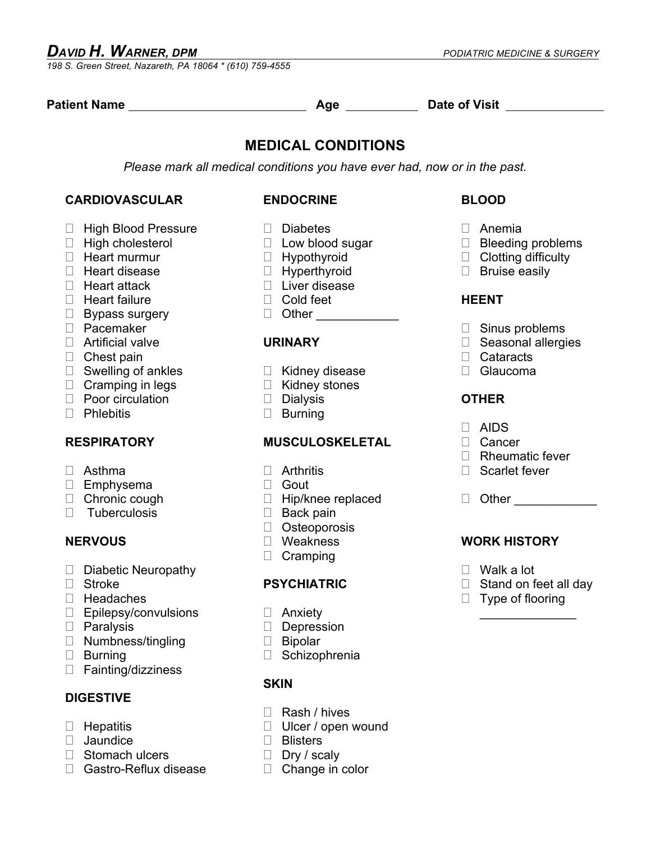*198 S. Green Street, Nazareth, PA 18064 \* (610) 759-4555*

| Patient Name                         | Age $\qquad$                                                              | Date of Visit <b>Example 20</b> |  |  |  |  |  |
|--------------------------------------|---------------------------------------------------------------------------|---------------------------------|--|--|--|--|--|
| <b>MEDICAL CONDITIONS</b>            |                                                                           |                                 |  |  |  |  |  |
|                                      | Please mark all medical conditions you have ever had, now or in the past. |                                 |  |  |  |  |  |
| <b>CARDIOVASCULAR</b>                | <b>ENDOCRINE</b>                                                          | <b>BLOOD</b>                    |  |  |  |  |  |
| <b>High Blood Pressure</b><br>$\Box$ | $\Box$ Diabetes                                                           | $\Box$ Anemia                   |  |  |  |  |  |
| □ High cholesterol                   | $\Box$ Low blood sugar                                                    | □ Bleeding problems             |  |  |  |  |  |
| $\Box$ Heart murmur                  | $\Box$ Hypothyroid                                                        | $\Box$ Clotting difficulty      |  |  |  |  |  |
| $\Box$ Heart disease                 | $\Box$ Hyperthyroid                                                       | $\Box$ Bruise easily            |  |  |  |  |  |
| $\Box$ Heart attack                  | □ Liver disease                                                           |                                 |  |  |  |  |  |
| $\Box$ Heart failure                 | $\Box$ Cold feet                                                          | <b>HEENT</b>                    |  |  |  |  |  |
| $\Box$ Bypass surgery                | D Other _______________                                                   |                                 |  |  |  |  |  |
| D Pacemaker                          |                                                                           | $\Box$ Sinus problems           |  |  |  |  |  |
| $\Box$ Artificial valve              | <b>URINARY</b>                                                            | □ Seasonal allergies            |  |  |  |  |  |
| $\Box$ Chest pain                    |                                                                           | $\Box$ Cataracts                |  |  |  |  |  |
| $\Box$ Swelling of ankles            | $\Box$ Kidney disease                                                     | □ Glaucoma                      |  |  |  |  |  |
| $\Box$ Cramping in legs              | $\Box$ Kidney stones                                                      |                                 |  |  |  |  |  |
| $\Box$ Poor circulation              | Dialysis                                                                  | <b>OTHER</b>                    |  |  |  |  |  |
| $\Box$ Phlebitis                     | $\Box$ Burning                                                            |                                 |  |  |  |  |  |
|                                      |                                                                           | $\Box$ AIDS                     |  |  |  |  |  |
| <b>RESPIRATORY</b>                   | <b>MUSCULOSKELETAL</b>                                                    | $\Box$ Cancer                   |  |  |  |  |  |
|                                      |                                                                           | $\Box$ Rheumatic fever          |  |  |  |  |  |
| $\Box$ Asthma                        | $\Box$ Arthritis                                                          | $\Box$ Scarlet fever            |  |  |  |  |  |
| $\Box$ Emphysema                     | $\Box$ Gout                                                               |                                 |  |  |  |  |  |
| $\Box$ Chronic cough                 | $\Box$ Hip/knee replaced                                                  | D Other _______________         |  |  |  |  |  |
| Tuberculosis<br>П.                   | $\Box$ Back pain                                                          |                                 |  |  |  |  |  |
|                                      | $\Box$ Osteoporosis                                                       |                                 |  |  |  |  |  |
| <b>NERVOUS</b>                       | □ Weakness                                                                | <b>WORK HISTORY</b>             |  |  |  |  |  |
|                                      | $\Box$ Cramping                                                           |                                 |  |  |  |  |  |
| Diabetic Neuropathy                  |                                                                           | $\Box$ Walk a lot               |  |  |  |  |  |
| □ Stroke                             | <b>PSYCHIATRIC</b>                                                        | $\Box$ Stand on feet all day    |  |  |  |  |  |
| Headaches                            |                                                                           | $\Box$ Type of flooring         |  |  |  |  |  |
| $\Box$<br>Epilepsy/convulsions       | $\Box$ Anxiety                                                            |                                 |  |  |  |  |  |

- □ Paralysis □ Numbness/tingling
- ! Burning
- □ Fainting/dizziness

### **DIGESTIVE**

- $\Box$  Hepatitis
- **I** Jaundice
- □ Stomach ulcers
- □ Gastro-Reflux disease
- □ Anxiety
- □ Depression
- □ Bipolar
- □ Schizophrenia

### **SKIN**

- □ Rash / hives
- □ Ulcer / open wound
- □ Blisters
- Dry / scaly
- □ Change in color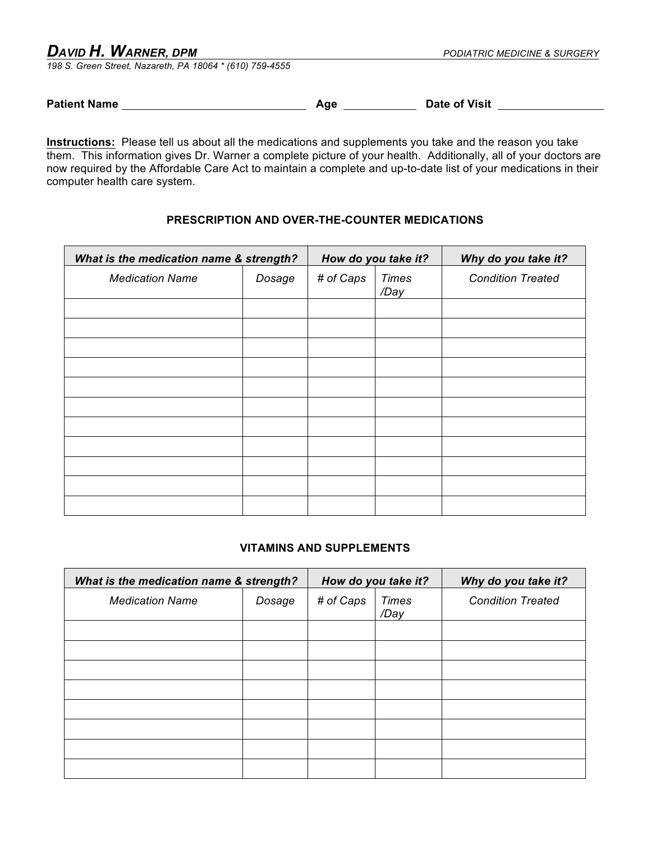*198 S. Green Street, Nazareth, PA 18064 \* (610) 759-4555*

**Patient Name Age Date of Visit** 

**Instructions:** Please tell us about all the medications and supplements you take and the reason you take them. This information gives Dr. Warner a complete picture of your health. Additionally, all of your doctors are now required by the Affordable Care Act to maintain a complete and up-to-date list of your medications in their computer health care system.

### **PRESCRIPTION AND OVER-THE-COUNTER MEDICATIONS**

| What is the medication name & strength? |        | How do you take it? |                      | Why do you take it?      |  |
|-----------------------------------------|--------|---------------------|----------------------|--------------------------|--|
| <b>Medication Name</b>                  | Dosage | # of Caps           | <b>Times</b><br>/Day | <b>Condition Treated</b> |  |
|                                         |        |                     |                      |                          |  |
|                                         |        |                     |                      |                          |  |
|                                         |        |                     |                      |                          |  |
|                                         |        |                     |                      |                          |  |
|                                         |        |                     |                      |                          |  |
|                                         |        |                     |                      |                          |  |
|                                         |        |                     |                      |                          |  |
|                                         |        |                     |                      |                          |  |
|                                         |        |                     |                      |                          |  |
|                                         |        |                     |                      |                          |  |
|                                         |        |                     |                      |                          |  |

### **VITAMINS AND SUPPLEMENTS**

| What is the medication name & strength? |        | How do you take it? |               | Why do you take it?      |  |
|-----------------------------------------|--------|---------------------|---------------|--------------------------|--|
| <b>Medication Name</b>                  | Dosage | # of Caps           | Times<br>/Day | <b>Condition Treated</b> |  |
|                                         |        |                     |               |                          |  |
|                                         |        |                     |               |                          |  |
|                                         |        |                     |               |                          |  |
|                                         |        |                     |               |                          |  |
|                                         |        |                     |               |                          |  |
|                                         |        |                     |               |                          |  |
|                                         |        |                     |               |                          |  |
|                                         |        |                     |               |                          |  |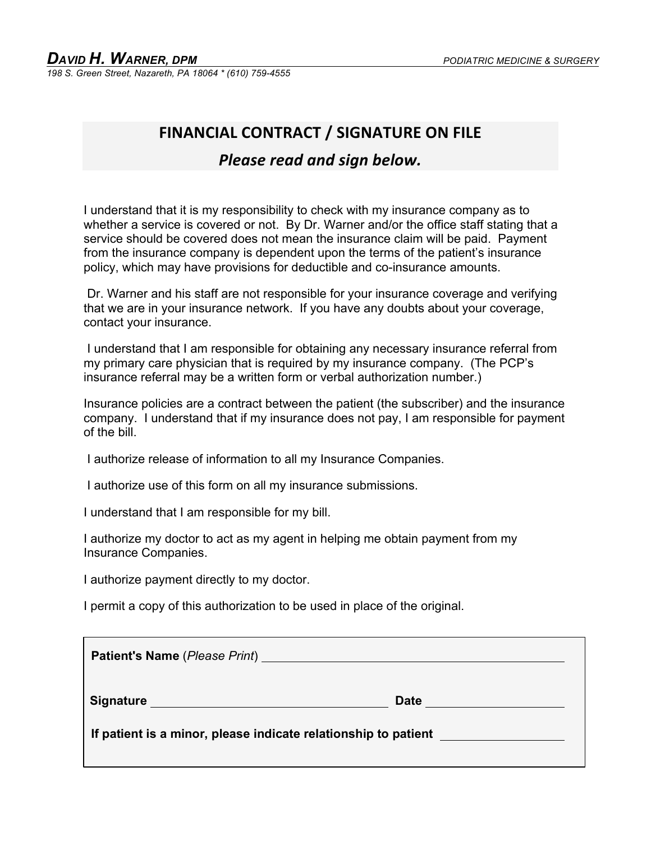### **FINANCIAL CONTRACT / SIGNATURE ON FILE**

### **Please read and sign below.**

I understand that it is my responsibility to check with my insurance company as to whether a service is covered or not. By Dr. Warner and/or the office staff stating that a service should be covered does not mean the insurance claim will be paid. Payment from the insurance company is dependent upon the terms of the patient's insurance policy, which may have provisions for deductible and co-insurance amounts.

Dr. Warner and his staff are not responsible for your insurance coverage and verifying that we are in your insurance network. If you have any doubts about your coverage, contact your insurance.

I understand that I am responsible for obtaining any necessary insurance referral from my primary care physician that is required by my insurance company. (The PCP's insurance referral may be a written form or verbal authorization number.)

Insurance policies are a contract between the patient (the subscriber) and the insurance company. I understand that if my insurance does not pay, I am responsible for payment of the bill.

I authorize release of information to all my Insurance Companies.

I authorize use of this form on all my insurance submissions.

I understand that I am responsible for my bill.

I authorize my doctor to act as my agent in helping me obtain payment from my Insurance Companies.

I authorize payment directly to my doctor.

I permit a copy of this authorization to be used in place of the original.

| <b>Patient's Name</b> ( <i>Please Print</i> ) <b>Example 2</b> and 2 and 2 and 2 and 2 and 2 and 2 and 2 and 2 and 2 and 2 and 2 and 2 and 2 and 2 and 2 and 2 and 2 and 2 and 2 and 2 and 2 and 2 and 2 and 2 and 2 and 2 and 2 and 2 and 2 an |             |
|-------------------------------------------------------------------------------------------------------------------------------------------------------------------------------------------------------------------------------------------------|-------------|
| Signature Signature Signature Signature Signature Signature Signature Signature Signature Signature Signature Signature Signature Signature Signature Signature Signature Signature Signature Signature Signature Signature Si                  | <b>Date</b> |
| If patient is a minor, please indicate relationship to patient                                                                                                                                                                                  |             |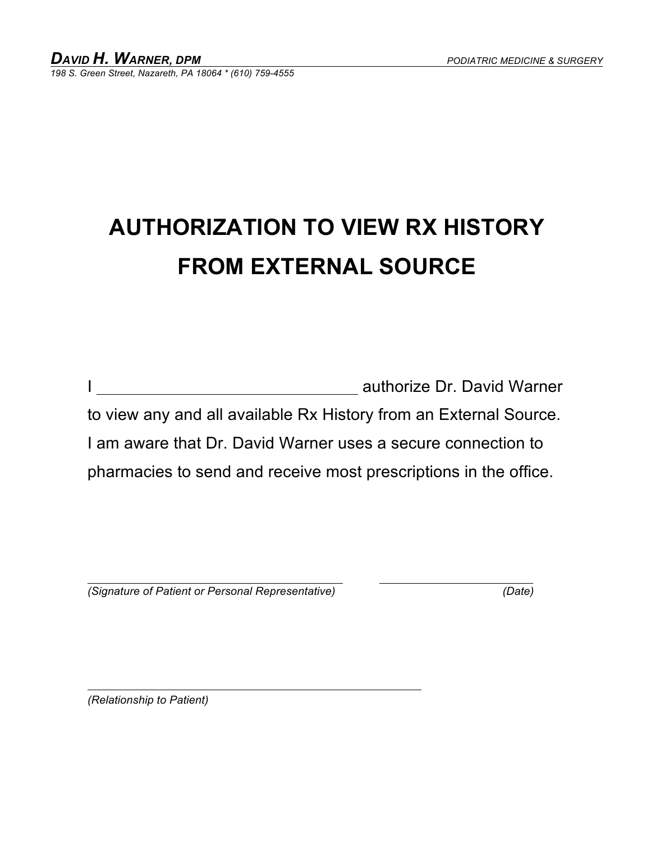### **AUTHORIZATION TO VIEW RX HISTORY FROM EXTERNAL SOURCE**

|                                                                   | authorize Dr. David Warner |
|-------------------------------------------------------------------|----------------------------|
| to view any and all available Rx History from an External Source. |                            |
| I am aware that Dr. David Warner uses a secure connection to      |                            |
| pharmacies to send and receive most prescriptions in the office.  |                            |

 *(Signature of Patient or Personal Representative) (Date)* 

*(Relationship to Patient)*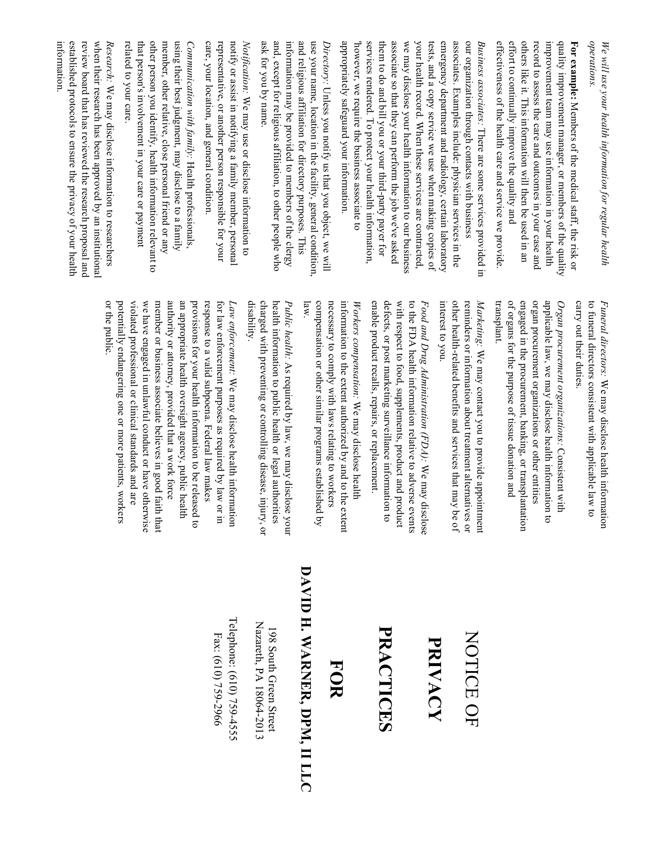|                                                   | or the public.                                                                                                                                                                                                                                                                                                                                    | established protocols to ensure the privacy of your health<br>review board that has reviewed the research proposal and<br>when their research has been approved by an institutional<br>information.<br>$Rescurch$ : We may disclose information to researchers                                                                                   |
|---------------------------------------------------|---------------------------------------------------------------------------------------------------------------------------------------------------------------------------------------------------------------------------------------------------------------------------------------------------------------------------------------------------|--------------------------------------------------------------------------------------------------------------------------------------------------------------------------------------------------------------------------------------------------------------------------------------------------------------------------------------------------|
|                                                   | member or business associate believes in good faith that<br>authority or attorney, provided that a work force<br>potentially endangering one or more patients, workers<br>violated professional or clinical standards and are<br>we have engaged in unlawful conduct or have otherwise<br>an appropriate health oversight agency, public hea<br>Ę | other person you identify, health information relevant to<br>using their best judgment, may disclose to a family<br>related to your care.<br>that person's involvement in your care or payment<br>member, other relative, close personal friend or any<br>Communication with family: Health professionals,                                       |
| Telephone: (610) 759-4555<br>Fax: (610) 759-2966  | response to a valid subpoena. Federal law makes<br>for law enforcement purposes as required by law or in<br>provisions for your health information to be released to<br>Law enforcement: We may disclose health information                                                                                                                       | representative, or another person responsible for your<br>notify or assist in notifying a family member, personal<br><i>Notification</i> : We may use or disclose information to<br>care, your location, and general condition.                                                                                                                  |
| Nazareth, PA 18064-2013<br>198 South Green Street | disability.<br>charged with preventing or controlling disease, injury, or<br>health information to public health or legal authorities<br>Public health: As required by law, we may disclose your                                                                                                                                                  | ask for you by name.<br>and, except for religious affiliation, to other people who<br>information may be provided to members of the clergy                                                                                                                                                                                                       |
| DAVID H. WARNER, DPM, II LLC<br><b>FOR</b>        | compensation or other similar programs established by<br>necessary to comply with laws relating to workers<br>law.                                                                                                                                                                                                                                | and religious affiliation for directory purposes. This<br>use your name, location in the facility, general condition,<br>Directory: Unless you notify us that you object, we will                                                                                                                                                                |
|                                                   | information to the extent authorized by and to the<br>Workers compensation: We may disclose health<br>extent                                                                                                                                                                                                                                      | appropriately safeguard your information<br>however, we require the business associate to                                                                                                                                                                                                                                                        |
| PRACTICES                                         | defects, or post marketing surveillance information to<br>with respect to food, supplements, product and product<br>enable product recalls, repairs, or replacement.                                                                                                                                                                              | services rendered. To protect your health information,<br>them to do and bill you or your third-party payer for<br>associate so that they can perform the job we've asked<br>we may disclose your health information to our business                                                                                                             |
| PRIVACY                                           | to the FDA health information relative to adverse events<br>Food and Drug Administration (FDA): We may disclose                                                                                                                                                                                                                                   | your health record. When these services are contracted,<br>tests, and a copy service we use when making copies of                                                                                                                                                                                                                                |
| NOTICE OF                                         | other health-related benefits and services that may<br>interest to you.<br>reminders or information about treatment alternatives or<br>Marketing: We may contact you to provide appointment<br>be of                                                                                                                                              | emergency department and radiology, certain laboratory<br>associates. Examples include: physician services in the<br>our organization through contacts with business<br>Business associates: There are some services provided in                                                                                                                 |
|                                                   | organ procurement organizations or other entities<br>of organs for the purpose of tissue donation and<br>engaged in the procurement, banking, or transplantation<br>applicable law, we may disclose health information to<br>transplant.<br>Organ procurement organizations: Consistent with                                                      | effectiveness of the health care and service we provide<br>effort to continually improve the quality and<br>others like it. This information will then be used in an<br>record to assess the care and outcomes in your case and<br>improvement team may use information in your health<br>quality improvement manager, or members of the quality |
|                                                   | carry out their duties<br>to funeral directors consistent with applicable law to<br>Funeral directors: We may disclose health inform<br>ation                                                                                                                                                                                                     | <i>operations</i> .<br>For example: Members of the medical staff, the risk or<br>We will use your health information for regular health                                                                                                                                                                                                          |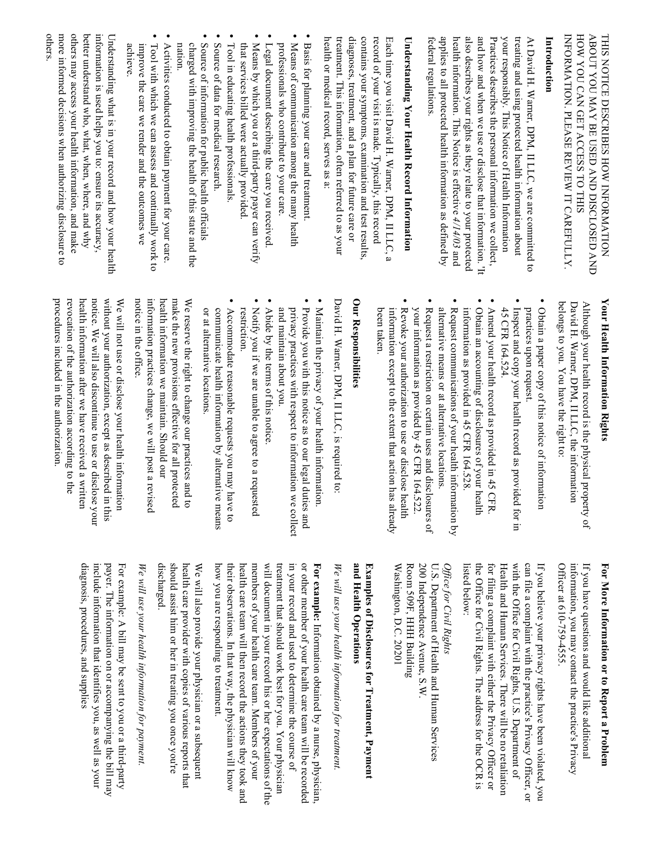| others.<br>information is used helps you to: ensure its accuracy,<br>more informed decisions when authorizing disclosure to<br>others may access your health information, and make<br>Understanding what is in your record and how your health<br>better understand who, what, when, where, and why                               | nation<br>charged with improving the health of this state and the<br>achieve<br>improve the care we render and the outcomes we<br>Tool with which we can assess and continually work to<br>Activities conducted to obtain payment for your care | $\bullet$<br>Source of information for public health officials<br>Source of data for medical research.<br>that services billed were actually provided<br>Tool in educating health professionals.<br>Means by which you or a third-party payer can verify<br>Legal document describing the care you received | health or medical record, serves as a:<br>professionals who contribute to your care.<br>Means of communication among the many health<br>Basis for planning your care and treatment                | diagnoses, treatment, and a plan for future care or<br>treatment. This information, often referred to as your<br>contains your symptoms, examination and test results,<br>record of your visit is made. Typically, this record | Each time you visit David H. Warner, DPM, II LLC, a<br>Understanding Your Health Record Information                                                                               | applies to all protected health information as defined by<br>also describes your rights as they relate to your protected<br>and how and when we use or disclose that information. It<br>your responsibly. This Notice of Health Information<br>health information. This Notice is effective $4/14/03$ and<br>treating and using protected health information about<br>Introduction<br>Practices describes the personal information we collect,<br>federal regulations.<br>At David H. Warner, DPM, II LLC, we are committed to | HOW YOU CAN GET ACCESS TO THIS<br>ABOUT YOU MAY BE USED AND DISCLOSED AND<br>INFORMATION. PLEASE REVIEW IT CAREFULLY<br>THIS NOTICE DESCRIBES HOW INFORMATION                        |
|-----------------------------------------------------------------------------------------------------------------------------------------------------------------------------------------------------------------------------------------------------------------------------------------------------------------------------------|-------------------------------------------------------------------------------------------------------------------------------------------------------------------------------------------------------------------------------------------------|-------------------------------------------------------------------------------------------------------------------------------------------------------------------------------------------------------------------------------------------------------------------------------------------------------------|---------------------------------------------------------------------------------------------------------------------------------------------------------------------------------------------------|--------------------------------------------------------------------------------------------------------------------------------------------------------------------------------------------------------------------------------|-----------------------------------------------------------------------------------------------------------------------------------------------------------------------------------|--------------------------------------------------------------------------------------------------------------------------------------------------------------------------------------------------------------------------------------------------------------------------------------------------------------------------------------------------------------------------------------------------------------------------------------------------------------------------------------------------------------------------------|--------------------------------------------------------------------------------------------------------------------------------------------------------------------------------------|
| notice. We will also discontinue to use or disclose your<br>procedures included in the authorization<br>revocation of the authorization according to the<br>health information after we have received a written<br>without your authorization, except as described in this<br>We will not use or disclose your health information | make the new provisions effective for all protected<br>notice in the office<br>information practices change, we will post a revised<br>health information we maintain. Should our<br>We reserve the right to change our practices and to        | restriction.<br>Notify you if we are unable to agree to a requested<br>Abide by the terms of this notice<br>or at alternative locations<br>communicate health information by alternative means<br>Accommodate reasonable requests you may have to                                                           | Maintain the privacy of your health information<br>Provide you with this notice as to our legal duties and<br>and maintain about you.<br>privacy practices with respect to information we collect | Our Responsibilities<br>David H. Warner, DPM, II LLC, is required to:                                                                                                                                                          | Revoke your authorization to use or disclose health<br>your information as provided by 45 CFR 164.522.<br>been taken.<br>information except to the extent that action has already | Obtain a paper copy of this notice of information<br>Obtain an accounting of disclosures of your health<br>information as provided in 45 CFR 164.528<br>alternative means or at alternative locations<br>Request communications of your health information by<br>45 CFR 164.524.<br>practices upon request.<br>Request a restriction on certain uses and disclosures<br>Amend your health record as provided in 45 CFR<br>Inspect and copy your health record as provided for in<br>P)                                         | Your Health Information Rights<br>belongs to you. You have the right to:<br>Although your health record is the physical property of<br>David H. Warner, DPM, II LLC, the information |

# For More Information or to Report a Problem **For More Information or to Report a Problem**

Officer at 610-759-4555. information, you may contact the practice's Privacy If you have questions and would like additional information, you may contact the practice's Privacy If you have questions and would like additional Officer at 610 -759-4555.

with the Office for Civil Rights, U.S. Department of can file a complaint with the practice's Privacy Officer, or the Office for Civil Rights. The address for the OCR is the Office for Civil for filing a complaint with either the Privacy Officer or Health and Human Services. There will be no retaliation Health and Human Services. There will be no retaliation with the Office for Civil Rights, U.S. Department of If you believe your privacy rights have been violated, you If you believe your privacy rights have been violated, you listed below: listed below: for filing a complaint with either the Privacy Officer or can file a complaint with the practice's Privacy Officer, or Rights. The address for the OCR is

### Office for Civil Rights *Office for Civil Rights*

200 Independence Avenue, S.W. U.S. Department of Health and Human Services Washington, D.C. 20201 Washington, D.C. 20201 Room 509F, HHH Building Room 509F, HHH Building 200 Independence Avenue, S.W. U.S. Department of Health and Human Services

### **and He** Examples of Disclosures for Treatment, Payment **Examples of Disclosures for Treatment, Payment alth Operations**

# We will use your health information for treatment. *We will use your health information for treatment.*

how you are responding to treatment. members of your health care team. Members of your will document in your record his or her expectations of the in your record and used to determine the course of or other member of your health care team will be recorded how you are responding to treatment. their observations. In that way, the physician will know their observations. In that way, the physician will health care team will then record the actions they took and health care team will then record the actions they took and members of your health care team. Members of your will document in your record his or her expectations of the treatment that should work best for you. Your physician treatment that should in your record and used to determine the course of For example: Information obtained by a nurse, physician, **For example:** or other member of your health care team will be recorded Information obtained by a nurse, physician, work best for you. Your physician

should assist him or her in treating you once you're discharged. health care provider with copies of various reports that health care provider with copies of various reports that We will also provide your physician or a subsequent We will also provide your physician or a subsequent discharged. should assist him or her in treating you once you're

## We will use your health information for payment. *We will use your health information fo r payment.*

diagnosis, procedures, and supplies include information that identifies you, as well as your include information payer. The information on or accompanying the bill may payer. The information on or accompanying the bill may For example: A bill may be sent to you or a third-party For example: A bill may be sent to you or a third-party diagnosis, procedures, and suppliesthat identifies you, as well as your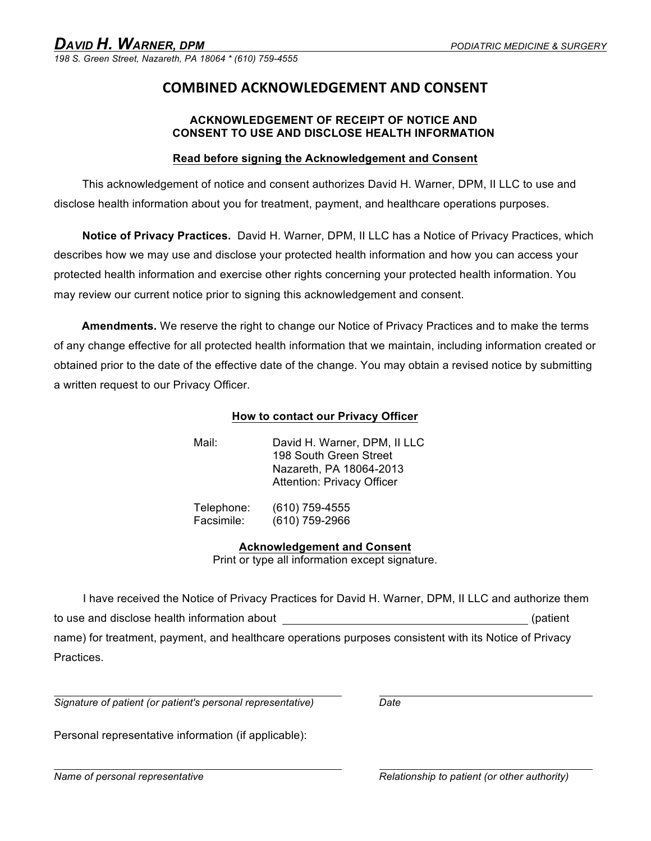*198 S. Green Street, Nazareth, PA 18064 \* (610) 759-4555*

### **COMBINED)ACKNOWLEDGEMENT)AND)CONSENT**

### **ACKNOWLEDGEMENT OF RECEIPT OF NOTICE AND CONSENT TO USE AND DISCLOSE HEALTH INFORMATION**

### **Read before signing the Acknowledgement and Consent**

This acknowledgement of notice and consent authorizes David H. Warner, DPM, II LLC to use and disclose health information about you for treatment, payment, and healthcare operations purposes.

**Notice of Privacy Practices.** David H. Warner, DPM, II LLC has a Notice of Privacy Practices, which describes how we may use and disclose your protected health information and how you can access your protected health information and exercise other rights concerning your protected health information. You may review our current notice prior to signing this acknowledgement and consent.

**Amendments.** We reserve the right to change our Notice of Privacy Practices and to make the terms of any change effective for all protected health information that we maintain, including information created or obtained prior to the date of the effective date of the change. You may obtain a revised notice by submitting a written request to our Privacy Officer.

### **How to contact our Privacy Officer**

| Mail: | David H. Warner, DPM, II LLC      |
|-------|-----------------------------------|
|       | 198 South Green Street            |
|       | Nazareth, PA 18064-2013           |
|       | <b>Attention: Privacy Officer</b> |
|       |                                   |

Telephone: (610) 759-4555 Facsimile: (610) 759-2966

**Acknowledgement and Consent**

Print or type all information except signature.

I have received the Notice of Privacy Practices for David H. Warner, DPM, II LLC and authorize them to use and disclose health information about (patient control of patient control of patient control of patient name) for treatment, payment, and healthcare operations purposes consistent with its Notice of Privacy Practices.

*Signature of patient (or patient's personal representative) Date* 

Personal representative information (if applicable):

*Name of personal representative Relationship to patient (or other authority)*